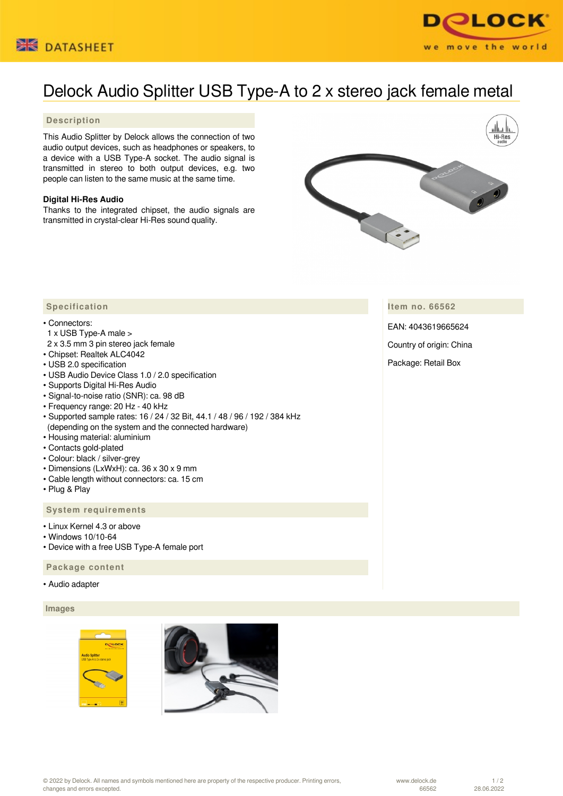



# Delock Audio Splitter USB Type-A to 2 x stereo jack female metal

### **Description**

This Audio Splitter by Delock allows the connection of two audio output devices, such as headphones or speakers, to a device with a USB Type-A socket. The audio signal is transmitted in stereo to both output devices, e.g. two people can listen to the same music at the same time.

#### **Digital Hi-Res Audio**

Thanks to the integrated chipset, the audio signals are transmitted in crystal-clear Hi-Res sound quality.



## **Item no. 66562**

EAN: 4043619665624

Country of origin: China

Package: Retail Box

# **Specification**

#### • Connectors:

- 1 x USB Type-A male >
- 2 x 3.5 mm 3 pin stereo jack female
- Chipset: Realtek ALC4042
- USB 2.0 specification
- USB Audio Device Class 1.0 / 2.0 specification
- Supports Digital Hi-Res Audio
- Signal-to-noise ratio (SNR): ca. 98 dB
- Frequency range: 20 Hz 40 kHz
- Supported sample rates: 16 / 24 / 32 Bit, 44.1 / 48 / 96 / 192 / 384 kHz (depending on the system and the connected hardware)
- Housing material: aluminium
- Contacts gold-plated
- Colour: black / silver-grey
- Dimensions (LxWxH): ca. 36 x 30 x 9 mm
- Cable length without connectors: ca. 15 cm
- Plug & Play

# **System requirements**

- Linux Kernel 4.3 or above
- Windows 10/10-64
- Device with a free USB Type-A female port

#### **Package content**

#### • Audio adapter

#### **Images**